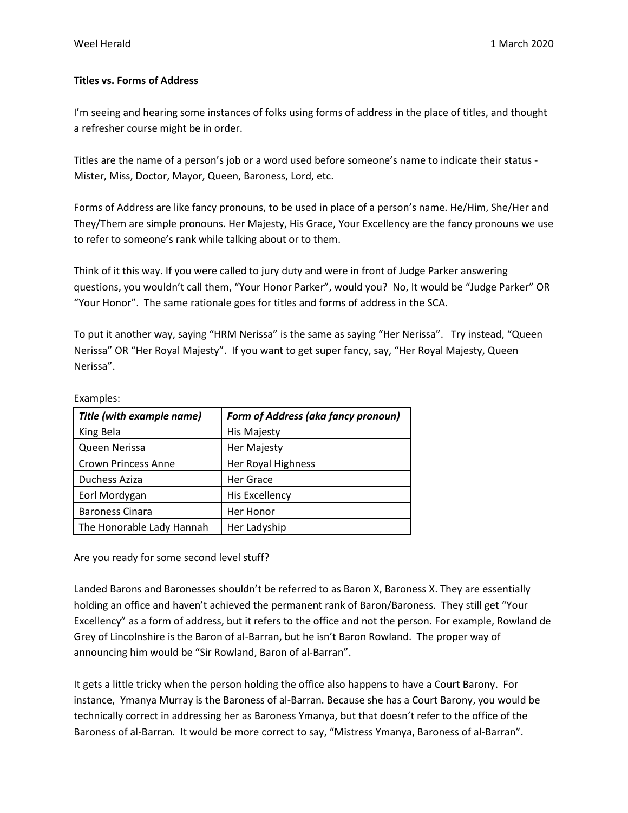## **Titles vs. Forms of Address**

I'm seeing and hearing some instances of folks using forms of address in the place of titles, and thought a refresher course might be in order.

Titles are the name of a person's job or a word used before someone's name to indicate their status - Mister, Miss, Doctor, Mayor, Queen, Baroness, Lord, etc.

Forms of Address are like fancy pronouns, to be used in place of a person's name. He/Him, She/Her and They/Them are simple pronouns. Her Majesty, His Grace, Your Excellency are the fancy pronouns we use to refer to someone's rank while talking about or to them.

Think of it this way. If you were called to jury duty and were in front of Judge Parker answering questions, you wouldn't call them, "Your Honor Parker", would you? No, It would be "Judge Parker" OR "Your Honor". The same rationale goes for titles and forms of address in the SCA.

To put it another way, saying "HRM Nerissa" is the same as saying "Her Nerissa". Try instead, "Queen Nerissa" OR "Her Royal Majesty". If you want to get super fancy, say, "Her Royal Majesty, Queen Nerissa".

| Title (with example name)  | <b>Form of Address (aka fancy pronoun)</b> |
|----------------------------|--------------------------------------------|
| King Bela                  | His Majesty                                |
| Queen Nerissa              | Her Majesty                                |
| <b>Crown Princess Anne</b> | Her Royal Highness                         |
| Duchess Aziza              | Her Grace                                  |
| Eorl Mordygan              | <b>His Excellency</b>                      |
| <b>Baroness Cinara</b>     | Her Honor                                  |
| The Honorable Lady Hannah  | Her Ladyship                               |

Examples:

Are you ready for some second level stuff?

Landed Barons and Baronesses shouldn't be referred to as Baron X, Baroness X. They are essentially holding an office and haven't achieved the permanent rank of Baron/Baroness. They still get "Your Excellency" as a form of address, but it refers to the office and not the person. For example, Rowland de Grey of Lincolnshire is the Baron of al-Barran, but he isn't Baron Rowland. The proper way of announcing him would be "Sir Rowland, Baron of al-Barran".

It gets a little tricky when the person holding the office also happens to have a Court Barony. For instance, Ymanya Murray is the Baroness of al-Barran. Because she has a Court Barony, you would be technically correct in addressing her as Baroness Ymanya, but that doesn't refer to the office of the Baroness of al-Barran. It would be more correct to say, "Mistress Ymanya, Baroness of al-Barran".